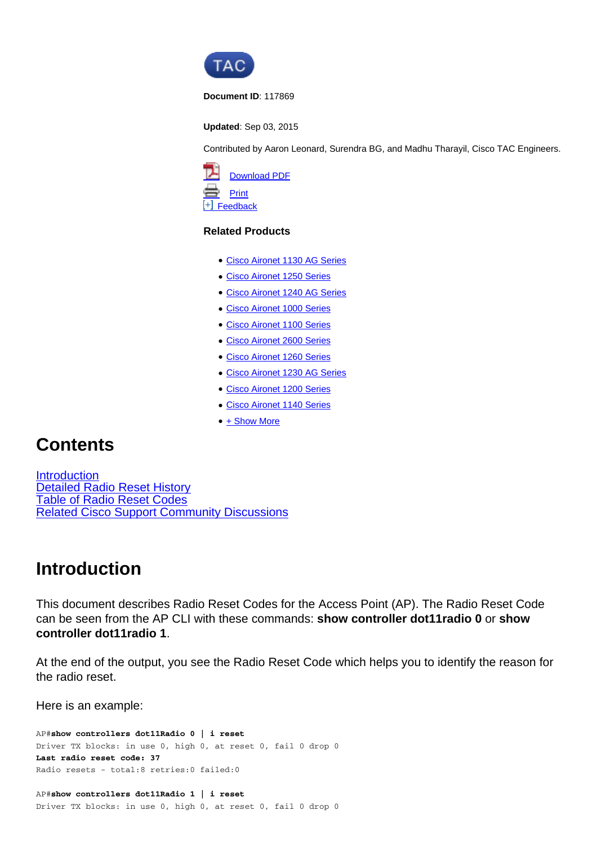

**Document ID**: 117869

**Updated**: Sep 03, 2015

Contributed by Aaron Leonard, Surendra BG, and Madhu Tharayil, Cisco TAC Engineers.



#### **Related Products**

- [Cisco Aironet 1130 AG Series](http://www.cisco.com/c/en/us/support/wireless/aironet-1130-ag-series/tsd-products-support-troubleshoot-and-alerts.html?referring_site=smartnavRPT)
- [Cisco Aironet 1250 Series](http://www.cisco.com/c/en/us/support/wireless/aironet-1250-series/tsd-products-support-troubleshoot-and-alerts.html?referring_site=smartnavRPT)
- [Cisco Aironet 1240 AG Series](http://www.cisco.com/c/en/us/support/wireless/aironet-1240-ag-series/tsd-products-support-troubleshoot-and-alerts.html?referring_site=smartnavRPT)
- [Cisco Aironet 1000 Series](http://www.cisco.com/c/en/us/support/wireless/aironet-1000-series/tsd-products-support-troubleshoot-and-alerts.html?referring_site=smartnavRPT)
- [Cisco Aironet 1100 Series](http://www.cisco.com/c/en/us/support/wireless/aironet-1100-series/tsd-products-support-troubleshoot-and-alerts.html?referring_site=smartnavRPT)
- [Cisco Aironet 2600 Series](http://www.cisco.com/c/en/us/support/wireless/aironet-2600-series/tsd-products-support-troubleshoot-and-alerts.html?referring_site=smartnavRPT)
- [Cisco Aironet 1260 Series](http://www.cisco.com/c/en/us/support/wireless/aironet-1260-series/tsd-products-support-troubleshoot-and-alerts.html?referring_site=smartnavRPT)
- [Cisco Aironet 1230 AG Series](http://www.cisco.com/c/en/us/support/wireless/aironet-1230-ag-series/tsd-products-support-troubleshoot-and-alerts.html?referring_site=smartnavRPT)
- [Cisco Aironet 1200 Series](http://www.cisco.com/c/en/us/support/wireless/aironet-1200-series/tsd-products-support-troubleshoot-and-alerts.html?referring_site=smartnavRPT)
- [Cisco Aironet 1140 Series](http://www.cisco.com/c/en/us/support/wireless/aironet-1140-series/tsd-products-support-troubleshoot-and-alerts.html?referring_site=smartnavRPT)
- [+ Show More](javascript:showExcessLinks())

## **Contents**

**Introduction** Detailed Radio Reset History Table of Radio Reset Codes Related Cisco Support Community Discussions

### **Introduction**

This document describes Radio Reset Codes for the Access Point (AP). The Radio Reset Code can be seen from the AP CLI with these commands: **show controller dot11radio 0** or **show controller dot11radio 1**.

At the end of the output, you see the Radio Reset Code which helps you to identify the reason for the radio reset.

Here is an example:

AP#**show controllers dot11Radio 0 | i reset** Driver TX blocks: in use 0, high 0, at reset 0, fail 0 drop 0 **Last radio reset code: 37** Radio resets - total:8 retries:0 failed:0

AP#**show controllers dot11Radio 1 | i reset** Driver TX blocks: in use 0, high 0, at reset 0, fail 0 drop 0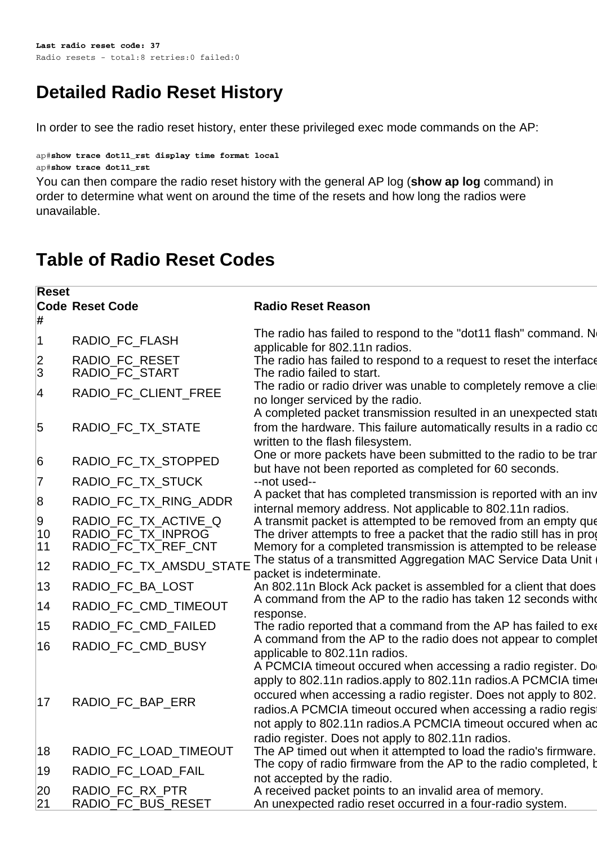# **Detailed Radio Reset History**

In order to see the radio reset history, enter these privileged exec mode commands on the AP:

```
ap#show trace dot11_rst display time format local
ap#show trace dot11_rst
```
You can then compare the radio reset history with the general AP log (**show ap log** command) in order to determine what went on around the time of the resets and how long the radios were unavailable.

# **Table of Radio Reset Codes**

| <b>Reset</b>   |                                                                   |                                                                                                                                                                                                                                                                                                                                                                                         |
|----------------|-------------------------------------------------------------------|-----------------------------------------------------------------------------------------------------------------------------------------------------------------------------------------------------------------------------------------------------------------------------------------------------------------------------------------------------------------------------------------|
| #              | <b>Code Reset Code</b>                                            | <b>Radio Reset Reason</b>                                                                                                                                                                                                                                                                                                                                                               |
| $\vert$ 1      | RADIO_FC_FLASH                                                    | The radio has failed to respond to the "dot11 flash" command. No<br>applicable for 802.11n radios.                                                                                                                                                                                                                                                                                      |
| 2 <br>3        | RADIO FC RESET<br>RADIO_FC_START                                  | The radio has failed to respond to a request to reset the interface<br>The radio failed to start.                                                                                                                                                                                                                                                                                       |
| 4              | RADIO_FC_CLIENT_FREE                                              | The radio or radio driver was unable to completely remove a clie<br>no longer serviced by the radio.<br>A completed packet transmission resulted in an unexpected statu                                                                                                                                                                                                                 |
| 5              | RADIO_FC_TX_STATE                                                 | from the hardware. This failure automatically results in a radio co<br>written to the flash filesystem.                                                                                                                                                                                                                                                                                 |
| 6              | RADIO_FC_TX_STOPPED                                               | One or more packets have been submitted to the radio to be tran<br>but have not been reported as completed for 60 seconds.                                                                                                                                                                                                                                                              |
| $ 7\>$         | RADIO_FC_TX_STUCK                                                 | --not used--                                                                                                                                                                                                                                                                                                                                                                            |
| 8              | RADIO_FC_TX_RING_ADDR                                             | A packet that has completed transmission is reported with an inv<br>internal memory address. Not applicable to 802.11n radios.                                                                                                                                                                                                                                                          |
| 9<br>10<br> 11 | RADIO FC TX ACTIVE Q<br>RADIO_FC_TX_INPROG<br>RADIO_FC_TX_REF_CNT | A transmit packet is attempted to be removed from an empty que<br>The driver attempts to free a packet that the radio still has in prog<br>Memory for a completed transmission is attempted to be release                                                                                                                                                                               |
| 12             | RADIO_FC_TX_AMSDU_STATE                                           | The status of a transmitted Aggregation MAC Service Data Unit<br>packet is indeterminate.                                                                                                                                                                                                                                                                                               |
| 13             | RADIO_FC_BA_LOST                                                  | An 802.11n Block Ack packet is assembled for a client that does                                                                                                                                                                                                                                                                                                                         |
| 14             | RADIO_FC_CMD_TIMEOUT                                              | A command from the AP to the radio has taken 12 seconds with<br>response.                                                                                                                                                                                                                                                                                                               |
| 15             | RADIO_FC_CMD_FAILED                                               | The radio reported that a command from the AP has failed to exe                                                                                                                                                                                                                                                                                                                         |
| 16             | RADIO_FC_CMD_BUSY                                                 | A command from the AP to the radio does not appear to complet<br>applicable to 802.11n radios.                                                                                                                                                                                                                                                                                          |
| 17             | RADIO_FC_BAP_ERR                                                  | A PCMCIA timeout occured when accessing a radio register. Do<br>apply to 802.11n radios.apply to 802.11n radios.A PCMCIA time<br>occured when accessing a radio register. Does not apply to 802.<br>radios. A PCMCIA timeout occured when accessing a radio regist<br>not apply to 802.11n radios.A PCMCIA timeout occured when ad<br>radio register. Does not apply to 802.11n radios. |
| 18             | RADIO_FC_LOAD_TIMEOUT                                             | The AP timed out when it attempted to load the radio's firmware.                                                                                                                                                                                                                                                                                                                        |
| 19             | RADIO_FC_LOAD_FAIL                                                | The copy of radio firmware from the AP to the radio completed, b<br>not accepted by the radio.                                                                                                                                                                                                                                                                                          |
| 20<br> 21      | RADIO_FC_RX_PTR<br>RADIO_FC_BUS_RESET                             | A received packet points to an invalid area of memory.<br>An unexpected radio reset occurred in a four-radio system.                                                                                                                                                                                                                                                                    |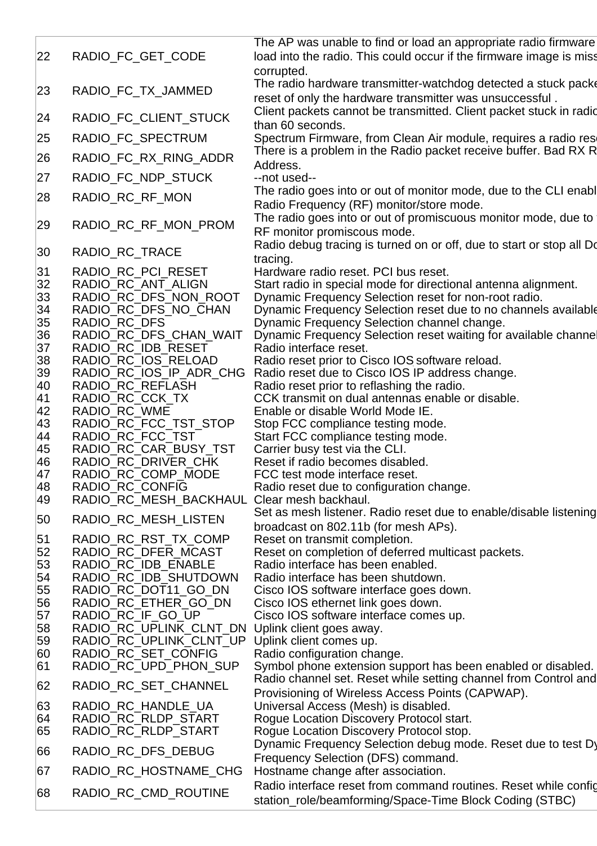|          |                                                | The AP was unable to find or load an appropriate radio firmware                                                            |
|----------|------------------------------------------------|----------------------------------------------------------------------------------------------------------------------------|
| 22       | RADIO_FC_GET_CODE                              | load into the radio. This could occur if the firmware image is miss<br>corrupted.                                          |
|          | RADIO_FC_TX_JAMMED                             | The radio hardware transmitter-watchdog detected a stuck packe                                                             |
| 23       |                                                | reset of only the hardware transmitter was unsuccessful.                                                                   |
| 24       | RADIO_FC_CLIENT_STUCK                          | Client packets cannot be transmitted. Client packet stuck in radio<br>than 60 seconds.                                     |
| 25       | RADIO_FC_SPECTRUM                              | Spectrum Firmware, from Clean Air module, requires a radio rese                                                            |
| 26       | RADIO_FC_RX_RING_ADDR                          | There is a problem in the Radio packet receive buffer. Bad RX R<br>Address.                                                |
| 27       | RADIO_FC_NDP_STUCK                             | --not used--                                                                                                               |
| 28       | RADIO_RC_RF_MON                                | The radio goes into or out of monitor mode, due to the CLI enable                                                          |
|          |                                                | Radio Frequency (RF) monitor/store mode.<br>The radio goes into or out of promiscuous monitor mode, due to                 |
| 29       | RADIO_RC_RF_MON_PROM                           | RF monitor promiscous mode.                                                                                                |
| 30       | RADIO_RC_TRACE                                 | Radio debug tracing is turned on or off, due to start or stop all Do<br>tracing.                                           |
| 31       | RADIO RC PCI RESET                             | Hardware radio reset. PCI bus reset.                                                                                       |
| 32       | RADIO_RC_ANT_ALIGN                             | Start radio in special mode for directional antenna alignment.                                                             |
| 33       | RADIO_RC_DFS_NON_ROOT<br>RADIO RC DFS NO CHAN  | Dynamic Frequency Selection reset for non-root radio.                                                                      |
| 34<br>35 | RADIO_RC_DFS                                   | Dynamic Frequency Selection reset due to no channels available<br>Dynamic Frequency Selection channel change.              |
| 36       | RADIO RC_DFS_CHAN_WAIT                         | Dynamic Frequency Selection reset waiting for available channel                                                            |
| 37       | RADIO_RC_IDB_RESET                             | Radio interface reset.                                                                                                     |
| 38       | RADIO_RC_IOS_RELOAD                            | Radio reset prior to Cisco IOS software reload.                                                                            |
| 39<br>40 | RADIO_RC_IOS_IP_ADR_CHG<br>RADIO_RC_REFLASH    | Radio reset due to Cisco IOS IP address change.                                                                            |
| 41       | RADIO_RC_CCK_TX                                | Radio reset prior to reflashing the radio.<br>CCK transmit on dual antennas enable or disable.                             |
| 42       | RADIO_RC_WME                                   | Enable or disable World Mode IE.                                                                                           |
| 43       | RADIO_RC_FCC_TST_STOP                          | Stop FCC compliance testing mode.                                                                                          |
| 44       | RADIO_RC_FCC_TST                               | Start FCC compliance testing mode.                                                                                         |
| 45       | RADIO_RC_CAR_BUSY_TST                          | Carrier busy test via the CLI.                                                                                             |
| 46<br>47 | RADIO RC DRIVER CHK<br>RADIO_RC_COMP_MODE      | Reset if radio becomes disabled.<br>FCC test mode interface reset.                                                         |
| 48       | RADIO_RC_CONFIG                                | Radio reset due to configuration change.                                                                                   |
| 49       | RADIO_RC_MESH_BACKHAUL Clear mesh backhaul.    |                                                                                                                            |
| 50       | RADIO_RC_MESH_LISTEN                           | Set as mesh listener. Radio reset due to enable/disable listening<br>broadcast on 802.11b (for mesh APs).                  |
| 51       | RADIO RC RST TX COMP                           | Reset on transmit completion.                                                                                              |
| 52       | RADIO_RC_DFER_MCAST                            | Reset on completion of deferred multicast packets.                                                                         |
| 53       | RADIO RC IDB ENABLE                            | Radio interface has been enabled.                                                                                          |
| 54<br>55 | RADIO_RC_IDB_SHUTDOWN<br>RADIO_RC_DOT11_GO_DN  | Radio interface has been shutdown.<br>Cisco IOS software interface goes down.                                              |
| 56       | RADIO_RC_ETHER_GO_DN                           | Cisco IOS ethernet link goes down.                                                                                         |
| 57       | RADIO_RC_IF_GO_UP                              | Cisco IOS software interface comes up.                                                                                     |
| 58       | RADIO_RC_UPLINK_CLNT_DN                        | Uplink client goes away.                                                                                                   |
| 59<br>60 | RADIO_RC_UPLINK_CLNT_UP<br>RADIO_RC_SET_CONFIG | Uplink client comes up.                                                                                                    |
| 61       | RADIO_RC_UPD_PHON_SUP                          | Radio configuration change.<br>Symbol phone extension support has been enabled or disabled.                                |
| 62       | RADIO_RC_SET_CHANNEL                           | Radio channel set. Reset while setting channel from Control and                                                            |
| 63       | RADIO_RC_HANDLE_UA                             | Provisioning of Wireless Access Points (CAPWAP).<br>Universal Access (Mesh) is disabled.                                   |
| 64       | RADIO_RC_RLDP_START                            | Rogue Location Discovery Protocol start.                                                                                   |
| 65       | RADIO_RC_RLDP_START                            | Rogue Location Discovery Protocol stop.                                                                                    |
| 66       | RADIO_RC_DFS_DEBUG                             | Dynamic Frequency Selection debug mode. Reset due to test Dy<br>Frequency Selection (DFS) command.                         |
| 67       | RADIO_RC_HOSTNAME_CHG                          | Hostname change after association.                                                                                         |
| 68       | RADIO_RC_CMD_ROUTINE                           | Radio interface reset from command routines. Reset while config<br>station_role/beamforming/Space-Time Block Coding (STBC) |
|          |                                                |                                                                                                                            |